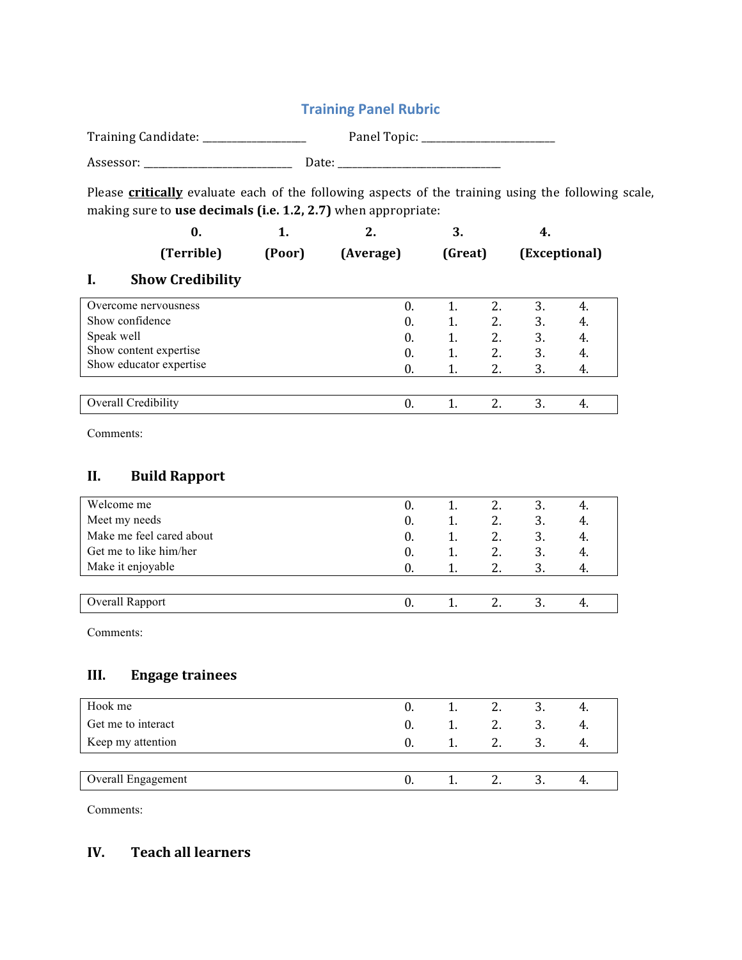# **Training Panel Rubric** Training Candidate: \_\_\_\_\_\_\_\_\_\_\_\_\_\_\_\_\_\_\_\_\_ Panel Topic: \_\_\_\_\_\_\_\_\_\_\_\_\_\_\_\_\_\_\_\_\_\_\_\_\_\_\_ Assessor: \_\_\_\_\_\_\_\_\_\_\_\_\_\_\_\_\_\_\_\_\_\_\_\_\_\_\_\_\_\_ Date: \_\_\_\_\_\_\_\_\_\_\_\_\_\_\_\_\_\_\_\_\_\_\_\_\_\_\_\_\_\_\_\_\_ Please **critically** evaluate each of the following aspects of the training using the following scale, making sure to use decimals (i.e. 1.2, 2.7) when appropriate: **0. 1. 2. 3. 4. (Terrible) (Poor) (Average) (Great) (Exceptional) I. Show Credibility** Overcome nervousness 0. 1. 2. 3. 4. Show confidence 0. 1. 2. 3. 4. Speak well Show content expertise Show educator expertise 0. 1. 2. 3. 4. 0. 1. 2. 3. 4. 0. 1. 2. 3. 4. Overall Credibility 0. 1. 2. 3. 4. Comments: **II. Build Rapport** Welcome me 0. 1. 2. 3. 4. Meet my needs 0. 1. 2. 3. 4. Make me feel cared about 0. 1. 2. 3. 4. Get me to like him/her 0. 1. 2. 3. 4. Make it enjoyable  $\begin{array}{cccc} 0. & 1. & 2. & 3. & 4. \end{array}$ Overall Rapport 0. 1. 2. 3. 4. Comments: **III. Engage trainees** Hook me 0. 1. 2. 3. 4. Get me to interact 0. 1. 2. 3. 4. Keep my attention  $0. 1. 2. 3. 4.$ Overall Engagement 0. 1. 2. 3. 4.

Comments:

# **IV. Teach all learners**